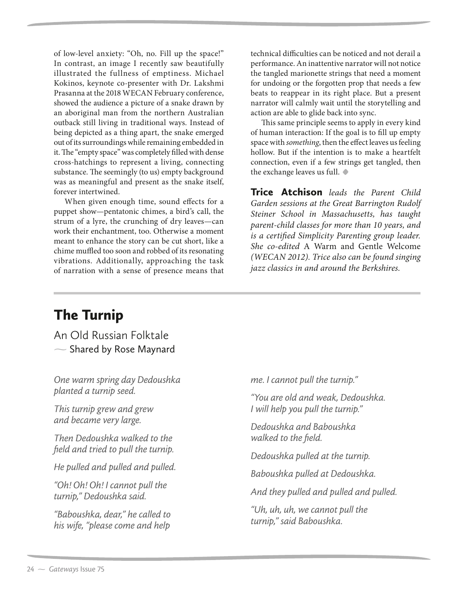## The Turnip

An Old Russian Folktale  $\overline{\phantom{0}}$ Shared by Rose Maynard

*One warm spring day Dedoushka planted a turnip seed.*

*This turnip grew and grew and became very large.*

*Then Dedoushka walked to the field and tried to pull the turnip.*

*He pulled and pulled and pulled.*

*"Oh! Oh! Oh! I cannot pull the turnip," Dedoushka said.*

*"Baboushka, dear," he called to his wife, "please come and help*  *me. I cannot pull the turnip."*

*"You are old and weak, Dedoushka. I will help you pull the turnip."*

*Dedoushka and Baboushka walked to the field.*

*Dedoushka pulled at the turnip.*

*Baboushka pulled at Dedoushka.*

*And they pulled and pulled and pulled.*

*"Uh, uh, uh, we cannot pull the turnip," said Baboushka.*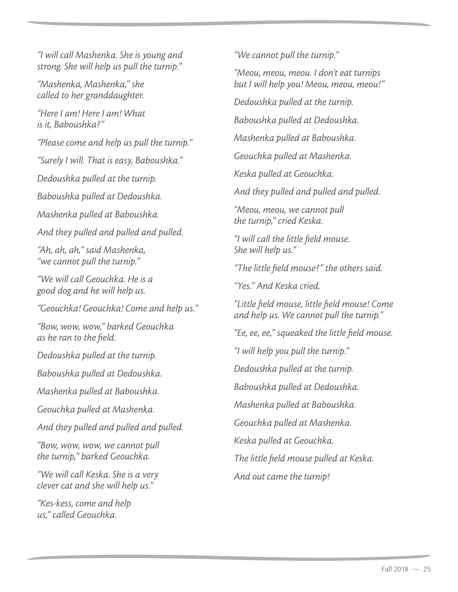*"I will call Mashenka. She is young and strong. She will help us pull the turnip."*

*"Mashenka, Mashenka," she called to her granddaughter.*

*"Here I am! Here I am! What is it, Baboushka?"*

*"Please come and help us pull the turnip."*

*"Surely I will. That is easy, Baboushka."*

*Dedoushka pulled at the turnip.*

*Baboushka pulled at Dedoushka.*

*Mashenka pulled at Baboushka.*

*And they pulled and pulled and pulled.*

*"Ah, ah, ah," said Mashenka, "we cannot pull the turnip."*

*"We will call Geouchka. He is a good dog and he will help us.*

*"Geouchka! Geouchka! Come and help us."*

*"Bow, wow, wow," barked Geouchka as he ran to the field.*

*Dedoushka pulled at the turnip.* 

*Baboushka pulled at Dedoushka.*

*Mashenka pulled at Baboushka.*

*Geouchka pulled at Mashenka.*

*And they pulled and pulled and pulled.*

*"Bow, wow, wow, we cannot pull the turnip," barked Geouchka.*

*"We will call Keska. She is a very clever cat and she will help us."*

*"Kes-kess, come and help us," called Geouchka.*

*"We cannot pull the turnip." "Meou, meou, meou. I don't eat turnips but I will help you! Meou, meou, meou!" Dedoushka pulled at the turnip. Baboushka pulled at Dedoushka. Mashenka pulled at Baboushka. Geouchka pulled at Mashenka. Keska pulled at Geouchka. And they pulled and pulled and pulled. "Meou, meou, we cannot pull the turnip," cried Keska. "I will call the little field mouse. She will help us." "The little field mouse?" the others said. "Yes." And Keska cried, "Little field mouse, little field mouse! Come and help us. We cannot pull the turnip." "Ee, ee, ee," squeaked the little field mouse. "I will help you pull the turnip." Dedoushka pulled at the turnip. Baboushka pulled at Dedoushka. Mashenka pulled at Baboushka. Geouchka pulled at Mashenka. Keska pulled at Geouchka. The little field mouse pulled at Keska. And out came the turnip!*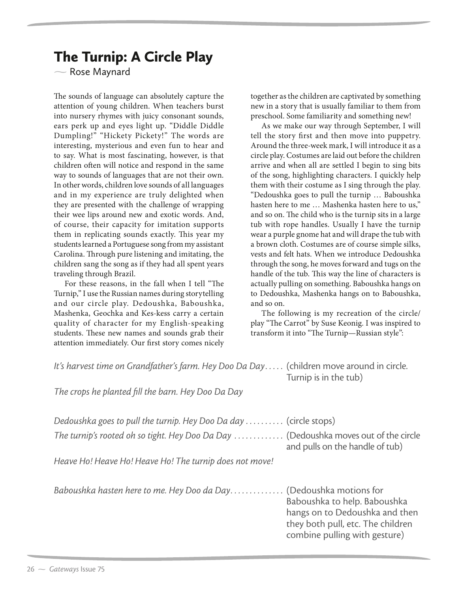## The Turnip: A Circle Play

— Rose Maynard

The sounds of language can absolutely capture the attention of young children. When teachers burst into nursery rhymes with juicy consonant sounds, ears perk up and eyes light up. "Diddle Diddle Dumpling!" "Hickety Pickety!" The words are interesting, mysterious and even fun to hear and to say. What is most fascinating, however, is that children often will notice and respond in the same way to sounds of languages that are not their own. In other words, children love sounds of all languages and in my experience are truly delighted when they are presented with the challenge of wrapping their wee lips around new and exotic words. And, of course, their capacity for imitation supports them in replicating sounds exactly. This year my students learned a Portuguese song from my assistant Carolina. Through pure listening and imitating, the children sang the song as if they had all spent years traveling through Brazil.

For these reasons, in the fall when I tell "The Turnip," I use the Russian names during storytelling and our circle play. Dedoushka, Baboushka, Mashenka, Geochka and Kes-kess carry a certain quality of character for my English-speaking students. These new names and sounds grab their attention immediately. Our first story comes nicely together as the children are captivated by something new in a story that is usually familiar to them from preschool. Some familiarity and something new!

As we make our way through September, I will tell the story first and then move into puppetry. Around the three-week mark, I will introduce it as a circle play. Costumes are laid out before the children arrive and when all are settled I begin to sing bits of the song, highlighting characters. I quickly help them with their costume as I sing through the play. "Dedoushka goes to pull the turnip … Baboushka hasten here to me … Mashenka hasten here to us," and so on. The child who is the turnip sits in a large tub with rope handles. Usually I have the turnip wear a purple gnome hat and will drape the tub with a brown cloth. Costumes are of course simple silks, vests and felt hats. When we introduce Dedoushka through the song, he moves forward and tugs on the handle of the tub. This way the line of characters is actually pulling on something. Baboushka hangs on to Dedoushka, Mashenka hangs on to Baboushka, and so on.

The following is my recreation of the circle/ play "The Carrot" by Suse Keonig. I was inspired to transform it into "The Turnip—Russian style":

It's harvest time on Grandfather's farm. Hey Doo Da Day ..... (children move around in circle. Turnip is in the tub)

*The crops he planted fill the barn. Hey Doo Da Day*

| Dedoushka goes to pull the turnip. Hey Doo Da day  (circle stops)                   |                                 |
|-------------------------------------------------------------------------------------|---------------------------------|
| The turnip's rooted oh so tight. Hey Doo Da Day  (Dedoushka moves out of the circle | and pulls on the handle of tub) |
| Heave Ho! Heave Ho! Heave Ho! The turnip does not move!                             |                                 |

| Baboushka hasten here to me. Hey Doo da Day (Dedoushka motions for |
|--------------------------------------------------------------------|
| Baboushka to help. Baboushka                                       |
| hangs on to Dedoushka and then                                     |
| they both pull, etc. The children                                  |
| combine pulling with gesture)                                      |
|                                                                    |